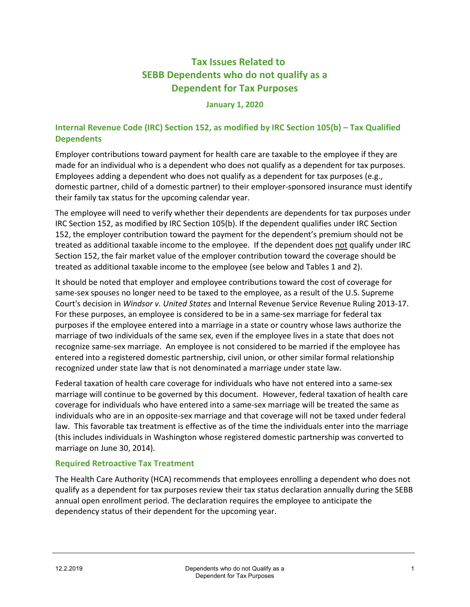# **Tax Issues Related to SEBB Dependents who do not qualify as a Dependent for Tax Purposes**

#### **January 1, 2020**

### **Internal Revenue Code (IRC) Section 152, as modified by IRC Section 105(b) – Tax Qualified Dependents**

Employer contributions toward payment for health care are taxable to the employee if they are made for an individual who is a dependent who does not qualify as a dependent for tax purposes. Employees adding a dependent who does not qualify as a dependent for tax purposes (e.g., domestic partner, child of a domestic partner) to their employer-sponsored insurance must identify their family tax status for the upcoming calendar year.

The employee will need to verify whether their dependents are dependents for tax purposes under IRC Section 152, as modified by IRC Section 105(b). If the dependent qualifies under IRC Section 152, the employer contribution toward the payment for the dependent's premium should not be treated as additional taxable income to the employee. If the dependent does not qualify under IRC Section 152, the fair market value of the employer contribution toward the coverage should be treated as additional taxable income to the employee (see below and Tables 1 and 2).

It should be noted that employer and employee contributions toward the cost of coverage for same-sex spouses no longer need to be taxed to the employee, as a result of the U.S. Supreme Court's decision in *Windsor v. United States* and Internal Revenue Service Revenue Ruling 2013-17. For these purposes, an employee is considered to be in a same-sex marriage for federal tax purposes if the employee entered into a marriage in a state or country whose laws authorize the marriage of two individuals of the same sex, even if the employee lives in a state that does not recognize same-sex marriage. An employee is not considered to be married if the employee has entered into a registered domestic partnership, civil union, or other similar formal relationship recognized under state law that is not denominated a marriage under state law.

Federal taxation of health care coverage for individuals who have not entered into a same-sex marriage will continue to be governed by this document. However, federal taxation of health care coverage for individuals who have entered into a same-sex marriage will be treated the same as individuals who are in an opposite-sex marriage and that coverage will not be taxed under federal law. This favorable tax treatment is effective as of the time the individuals enter into the marriage (this includes individuals in Washington whose registered domestic partnership was converted to marriage on June 30, 2014).

### **Required Retroactive Tax Treatment**

The Health Care Authority (HCA) recommends that employees enrolling a dependent who does not qualify as a dependent for tax purposes review their tax status declaration annually during the SEBB annual open enrollment period. The declaration requires the employee to anticipate the dependency status of their dependent for the upcoming year.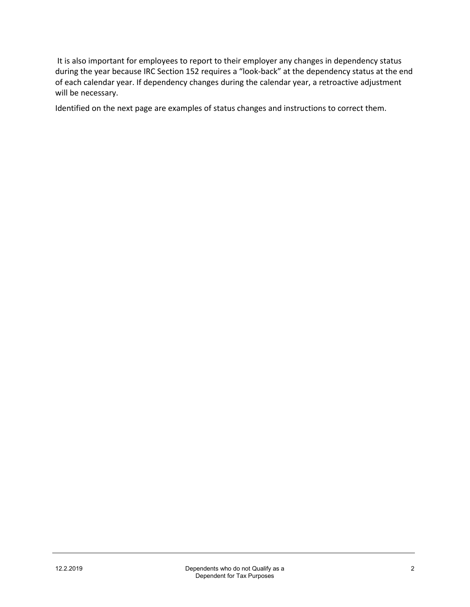It is also important for employees to report to their employer any changes in dependency status during the year because IRC Section 152 requires a "look-back" at the dependency status at the end of each calendar year. If dependency changes during the calendar year, a retroactive adjustment will be necessary.

Identified on the next page are examples of status changes and instructions to correct them.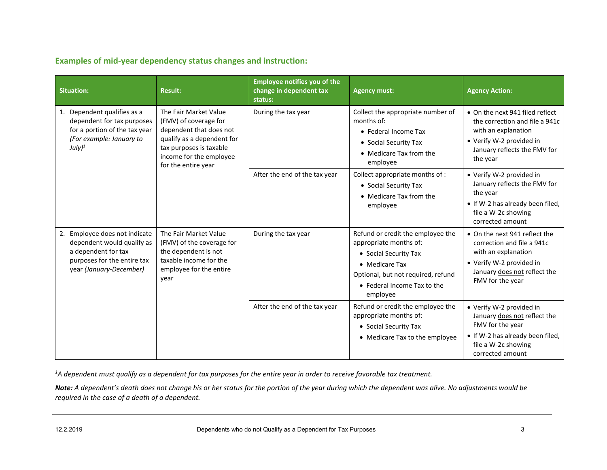**Examples of mid-year dependency status changes and instruction:**

| <b>Situation:</b>                                                                                                                            | <b>Result:</b>                                                                                                                                                | <b>Employee notifies you of the</b><br>change in dependent tax<br>status: | <b>Agency must:</b>                                                                                                                                                                     | <b>Agency Action:</b>                                                                                                                                              |
|----------------------------------------------------------------------------------------------------------------------------------------------|---------------------------------------------------------------------------------------------------------------------------------------------------------------|---------------------------------------------------------------------------|-----------------------------------------------------------------------------------------------------------------------------------------------------------------------------------------|--------------------------------------------------------------------------------------------------------------------------------------------------------------------|
| 1. Dependent qualifies as a<br>dependent for tax purposes<br>for a portion of the tax year<br>(For example: January to<br>July) <sup>1</sup> | The Fair Market Value<br>(FMV) of coverage for<br>dependent that does not<br>qualify as a dependent for<br>tax purposes is taxable<br>income for the employee | During the tax year                                                       | Collect the appropriate number of<br>months of:<br>• Federal Income Tax<br>• Social Security Tax<br>• Medicare Tax from the<br>employee                                                 | • On the next 941 filed reflect<br>the correction and file a 941c<br>with an explanation<br>• Verify W-2 provided in<br>January reflects the FMV for<br>the year   |
| for the entire year                                                                                                                          |                                                                                                                                                               | After the end of the tax year                                             | Collect appropriate months of :<br>• Social Security Tax<br>• Medicare Tax from the<br>employee                                                                                         | • Verify W-2 provided in<br>January reflects the FMV for<br>the year<br>• If W-2 has already been filed,<br>file a W-2c showing<br>corrected amount                |
| 2. Employee does not indicate<br>dependent would qualify as<br>a dependent for tax<br>purposes for the entire tax<br>year (January-December) | The Fair Market Value<br>(FMV) of the coverage for<br>the dependent is not<br>taxable income for the<br>employee for the entire<br>year                       | During the tax year                                                       | Refund or credit the employee the<br>appropriate months of:<br>• Social Security Tax<br>• Medicare Tax<br>Optional, but not required, refund<br>• Federal Income Tax to the<br>employee | • On the next 941 reflect the<br>correction and file a 941c<br>with an explanation<br>• Verify W-2 provided in<br>January does not reflect the<br>FMV for the year |
|                                                                                                                                              |                                                                                                                                                               | After the end of the tax year                                             | Refund or credit the employee the<br>appropriate months of:<br>• Social Security Tax<br>• Medicare Tax to the employee                                                                  | • Verify W-2 provided in<br>January does not reflect the<br>FMV for the year<br>• If W-2 has already been filed,<br>file a W-2c showing<br>corrected amount        |

*1 A dependent must qualify as a dependent for tax purposes for the entire year in order to receive favorable tax treatment.*

*Note: A dependent's death does not change his or her status for the portion of the year during which the dependent was alive. No adjustments would be required in the case of a death of a dependent.*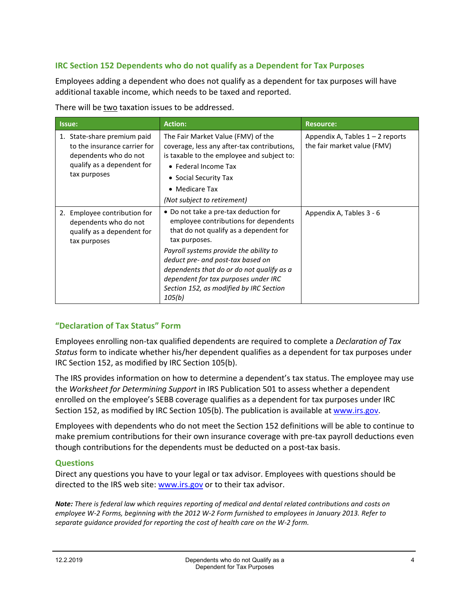### **IRC Section 152 Dependents who do not qualify as a Dependent for Tax Purposes**

Employees adding a dependent who does not qualify as a dependent for tax purposes will have additional taxable income, which needs to be taxed and reported.

There will be two taxation issues to be addressed.

| Issue:                                                                                                                             | <b>Action:</b>                                                                                                                                                                                                                                                                                                                                                     | <b>Resource:</b>                                                  |
|------------------------------------------------------------------------------------------------------------------------------------|--------------------------------------------------------------------------------------------------------------------------------------------------------------------------------------------------------------------------------------------------------------------------------------------------------------------------------------------------------------------|-------------------------------------------------------------------|
| 1. State-share premium paid<br>to the insurance carrier for<br>dependents who do not<br>qualify as a dependent for<br>tax purposes | The Fair Market Value (FMV) of the<br>coverage, less any after-tax contributions,<br>is taxable to the employee and subject to:<br>• Federal Income Tax<br>• Social Security Tax<br>• Medicare Tax<br>(Not subject to retirement)                                                                                                                                  | Appendix A, Tables $1 - 2$ reports<br>the fair market value (FMV) |
| 2. Employee contribution for<br>dependents who do not<br>qualify as a dependent for<br>tax purposes                                | • Do not take a pre-tax deduction for<br>employee contributions for dependents<br>that do not qualify as a dependent for<br>tax purposes.<br>Payroll systems provide the ability to<br>deduct pre- and post-tax based on<br>dependents that do or do not qualify as a<br>dependent for tax purposes under IRC<br>Section 152, as modified by IRC Section<br>105(b) | Appendix A, Tables 3 - 6                                          |

### **"Declaration of Tax Status" Form**

Employees enrolling non-tax qualified dependents are required to complete a *Declaration of Tax Status* form to indicate whether his/her dependent qualifies as a dependent for tax purposes under IRC Section 152, as modified by IRC Section 105(b).

The IRS provides information on how to determine a dependent's tax status. The employee may use the *Worksheet for Determining Support* in IRS Publication 501 to assess whether a dependent enrolled on the employee's SEBB coverage qualifies as a dependent for tax purposes under IRC Section 152, as modified by IRC Section 105(b). The publication is available a[t www.irs.gov.](http://www.irs.gov/)

Employees with dependents who do not meet the Section 152 definitions will be able to continue to make premium contributions for their own insurance coverage with pre-tax payroll deductions even though contributions for the dependents must be deducted on a post-tax basis.

### **Questions**

Direct any questions you have to your legal or tax advisor. Employees with questions should be directed to the IRS web site: [www.irs.gov](http://www.irs.gov/) or to their tax advisor.

*Note: There is federal law which requires reporting of medical and dental related contributions and costs on employee W-2 Forms, beginning with the 2012 W-2 Form furnished to employees in January 2013. Refer to separate guidance provided for reporting the cost of health care on the W-2 form.*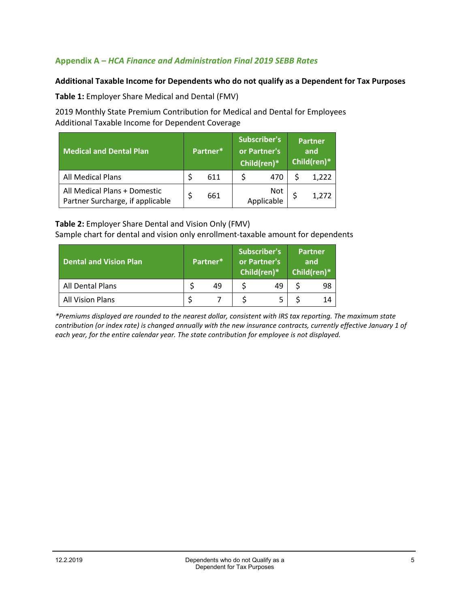### **Appendix A –** *HCA Finance and Administration Final 2019 SEBB Rates*

#### **Additional Taxable Income for Dependents who do not qualify as a Dependent for Tax Purposes**

**Table 1:** Employer Share Medical and Dental (FMV)

2019 Monthly State Premium Contribution for Medical and Dental for Employees Additional Taxable Income for Dependent Coverage

| <b>Medical and Dental Plan</b>                                   | Partner* |     | <b>Subscriber's</b><br>or Partner's<br>Child(ren)* |                   | <b>Partner</b><br>and<br>Child(ren)* |       |
|------------------------------------------------------------------|----------|-----|----------------------------------------------------|-------------------|--------------------------------------|-------|
| <b>All Medical Plans</b>                                         |          | 611 |                                                    | 470               |                                      | 1,222 |
| All Medical Plans + Domestic<br>Partner Surcharge, if applicable |          | 661 |                                                    | Not<br>Applicable |                                      | 1,272 |

#### **Table 2:** Employer Share Dental and Vision Only (FMV)

Sample chart for dental and vision only enrollment-taxable amount for dependents

| <b>Dental and Vision Plan</b> | Partner* |    | <b>Subscriber's</b><br>or Partner's<br>Child(ren)* |    | <b>Partner</b><br>and<br>Child(ren)* |    |
|-------------------------------|----------|----|----------------------------------------------------|----|--------------------------------------|----|
| All Dental Plans              |          | 49 |                                                    | 49 |                                      | 98 |
| <b>All Vision Plans</b>       |          |    |                                                    |    |                                      | 14 |

*\*Premiums displayed are rounded to the nearest dollar, consistent with IRS tax reporting. The maximum state contribution (or index rate) is changed annually with the new insurance contracts, currently effective January 1 of each year, for the entire calendar year. The state contribution for employee is not displayed.*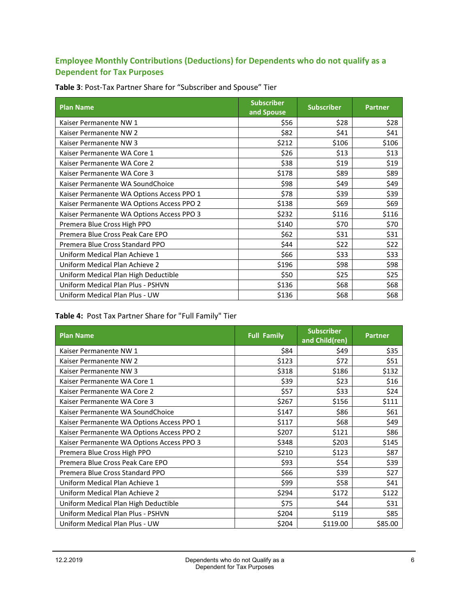# **Employee Monthly Contributions (Deductions) for Dependents who do not qualify as a Dependent for Tax Purposes**

| <b>Plan Name</b>                          | <b>Subscriber</b><br>and Spouse | <b>Subscriber</b> | <b>Partner</b> |
|-------------------------------------------|---------------------------------|-------------------|----------------|
| Kaiser Permanente NW 1                    | \$56                            | \$28              | \$28           |
| Kaiser Permanente NW 2                    | \$82                            | \$41              | \$41           |
| Kaiser Permanente NW 3                    | \$212                           | \$106             | \$106          |
| Kaiser Permanente WA Core 1               | \$26                            | \$13              | \$13           |
| Kaiser Permanente WA Core 2               | \$38                            | \$19              | \$19           |
| Kaiser Permanente WA Core 3               | \$178                           | \$89              | \$89           |
| Kaiser Permanente WA SoundChoice          | \$98                            | \$49              | \$49           |
| Kaiser Permanente WA Options Access PPO 1 | \$78                            | \$39              | \$39           |
| Kaiser Permanente WA Options Access PPO 2 | \$138                           | \$69              | \$69           |
| Kaiser Permanente WA Options Access PPO 3 | \$232                           | \$116             | \$116          |
| Premera Blue Cross High PPO               | \$140                           | \$70              | \$70           |
| Premera Blue Cross Peak Care EPO          | \$62                            | \$31              | \$31           |
| Premera Blue Cross Standard PPO           | \$44                            | \$22              | \$22           |
| Uniform Medical Plan Achieve 1            | \$66                            | \$33              | \$33           |
| Uniform Medical Plan Achieve 2            | \$196                           | \$98              | \$98           |
| Uniform Medical Plan High Deductible      | \$50                            | \$25              | \$25           |
| Uniform Medical Plan Plus - PSHVN         | \$136                           | \$68              | \$68           |
| Uniform Medical Plan Plus - UW            | \$136                           | \$68              | \$68           |

**Table 3**: Post-Tax Partner Share for "Subscriber and Spouse" Tier

# **Table 4:** Post Tax Partner Share for "Full Family" Tier

| <b>Plan Name</b>                          | <b>Full Family</b> | <b>Subscriber</b><br>and Child(ren) | <b>Partner</b> |
|-------------------------------------------|--------------------|-------------------------------------|----------------|
| Kaiser Permanente NW 1                    | \$84               | \$49                                | \$35           |
| Kaiser Permanente NW 2                    | \$123              | \$72                                | \$51           |
| Kaiser Permanente NW 3                    | \$318              | \$186                               | \$132          |
| Kaiser Permanente WA Core 1               | \$39               | \$23                                | \$16           |
| Kaiser Permanente WA Core 2               | \$57               | \$33                                | \$24           |
| Kaiser Permanente WA Core 3               | \$267              | \$156                               | \$111          |
| Kaiser Permanente WA SoundChoice          | \$147              | \$86                                | \$61           |
| Kaiser Permanente WA Options Access PPO 1 | \$117              | \$68                                | \$49           |
| Kaiser Permanente WA Options Access PPO 2 | \$207              | \$121                               | \$86           |
| Kaiser Permanente WA Options Access PPO 3 | \$348              | \$203                               | \$145          |
| Premera Blue Cross High PPO               | \$210              | \$123                               | \$87           |
| Premera Blue Cross Peak Care EPO          | \$93               | \$54                                | \$39           |
| Premera Blue Cross Standard PPO           | \$66               | \$39                                | \$27           |
| Uniform Medical Plan Achieve 1            | \$99               | \$58                                | \$41           |
| Uniform Medical Plan Achieve 2            | \$294              | \$172                               | \$122          |
| Uniform Medical Plan High Deductible      | \$75               | \$44                                | \$31           |
| Uniform Medical Plan Plus - PSHVN         | \$204              | \$119                               | \$85           |
| Uniform Medical Plan Plus - UW            | \$204              | \$119.00                            | \$85.00        |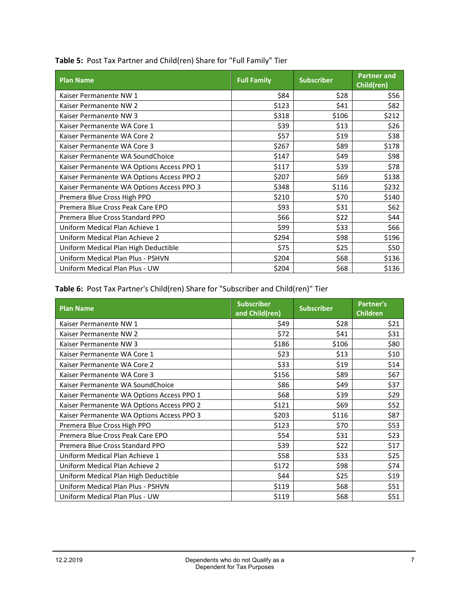| <b>Plan Name</b>                          | <b>Full Family</b> | <b>Subscriber</b> | <b>Partner and</b><br>Child(ren) |
|-------------------------------------------|--------------------|-------------------|----------------------------------|
| Kaiser Permanente NW 1                    | \$84               | \$28              | \$56                             |
| Kaiser Permanente NW 2                    | \$123              | \$41              | \$82                             |
| Kaiser Permanente NW 3                    | \$318              | \$106             | \$212                            |
| Kaiser Permanente WA Core 1               | \$39               | \$13              | \$26                             |
| Kaiser Permanente WA Core 2               | \$57               | \$19              | \$38                             |
| Kaiser Permanente WA Core 3               | \$267              | \$89              | \$178                            |
| Kaiser Permanente WA SoundChoice          | \$147              | \$49              | \$98                             |
| Kaiser Permanente WA Options Access PPO 1 | \$117              | \$39              | \$78                             |
| Kaiser Permanente WA Options Access PPO 2 | \$207              | \$69              | \$138                            |
| Kaiser Permanente WA Options Access PPO 3 | \$348              | \$116             | \$232                            |
| Premera Blue Cross High PPO               | \$210              | \$70              | \$140                            |
| Premera Blue Cross Peak Care EPO          | \$93               | \$31              | \$62                             |
| Premera Blue Cross Standard PPO           | \$66               | \$22              | \$44                             |
| Uniform Medical Plan Achieve 1            | \$99               | \$33              | \$66                             |
| Uniform Medical Plan Achieve 2            | \$294              | \$98              | \$196                            |
| Uniform Medical Plan High Deductible      | \$75               | \$25              | \$50                             |
| Uniform Medical Plan Plus - PSHVN         | \$204              | \$68              | \$136                            |
| Uniform Medical Plan Plus - UW            | \$204              | \$68              | \$136                            |

**Table 5:** Post Tax Partner and Child(ren) Share for "Full Family" Tier

**Table 6:** Post Tax Partner's Child(ren) Share for "Subscriber and Child(ren)" Tier

| <b>Plan Name</b>                          | <b>Subscriber</b><br>and Child(ren) | <b>Subscriber</b> | <b>Partner's</b><br><b>Children</b> |
|-------------------------------------------|-------------------------------------|-------------------|-------------------------------------|
| Kaiser Permanente NW 1                    | \$49                                | \$28              | \$21                                |
| Kaiser Permanente NW 2                    | \$72                                | \$41              | \$31                                |
| Kaiser Permanente NW 3                    | \$186                               | \$106             | \$80                                |
| Kaiser Permanente WA Core 1               | \$23                                | \$13              | \$10                                |
| Kaiser Permanente WA Core 2               | \$33                                | \$19              | \$14                                |
| Kaiser Permanente WA Core 3               | \$156                               | \$89              | \$67                                |
| Kaiser Permanente WA SoundChoice          | \$86                                | \$49              | \$37                                |
| Kaiser Permanente WA Options Access PPO 1 | \$68                                | \$39              | \$29                                |
| Kaiser Permanente WA Options Access PPO 2 | \$121                               | \$69              | \$52                                |
| Kaiser Permanente WA Options Access PPO 3 | \$203                               | \$116             | \$87                                |
| Premera Blue Cross High PPO               | \$123                               | \$70              | \$53                                |
| Premera Blue Cross Peak Care EPO          | \$54                                | \$31              | \$23                                |
| Premera Blue Cross Standard PPO           | \$39                                | \$22              | \$17                                |
| Uniform Medical Plan Achieve 1            | \$58                                | \$33              | \$25                                |
| Uniform Medical Plan Achieve 2            | \$172                               | \$98              | \$74                                |
| Uniform Medical Plan High Deductible      | \$44                                | \$25              | \$19                                |
| Uniform Medical Plan Plus - PSHVN         | \$119                               | \$68              | \$51                                |
| Uniform Medical Plan Plus - UW            | \$119                               | \$68              | \$51                                |